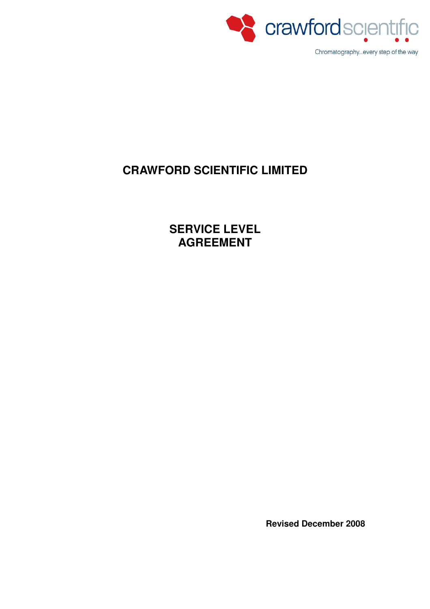

# **CRAWFORD SCIENTIFIC LIMITED**

**SERVICE LEVEL AGREEMENT** 

**Revised December 2008**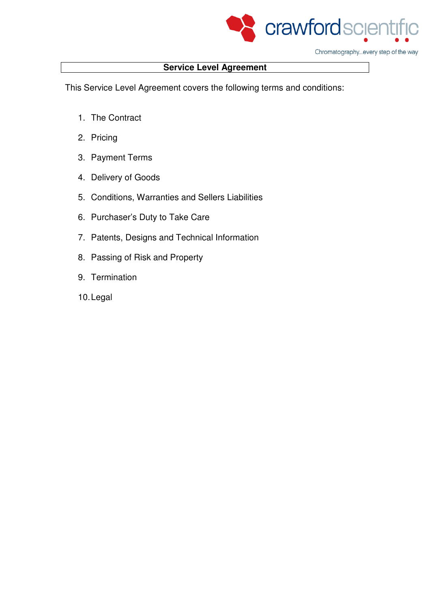

Chromatography...every step of the way

# **Service Level Agreement**

This Service Level Agreement covers the following terms and conditions:

- 1. The Contract
- 2. Pricing
- 3. Payment Terms
- 4. Delivery of Goods
- 5. Conditions, Warranties and Sellers Liabilities
- 6. Purchaser's Duty to Take Care
- 7. Patents, Designs and Technical Information
- 8. Passing of Risk and Property
- 9. Termination
- 10. Legal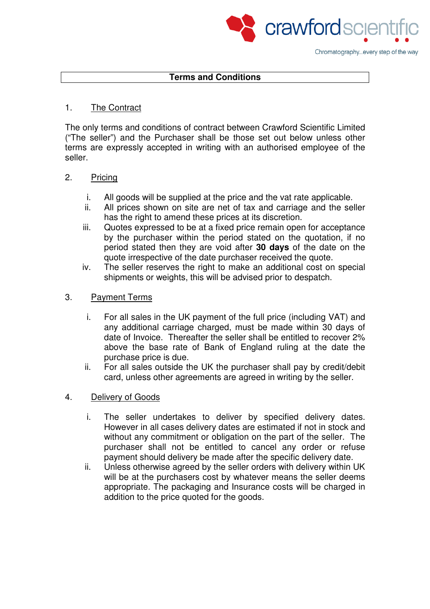

#### **Terms and Conditions**

### 1. The Contract

The only terms and conditions of contract between Crawford Scientific Limited ("The seller") and the Purchaser shall be those set out below unless other terms are expressly accepted in writing with an authorised employee of the seller.

## 2. Pricing

- i. All goods will be supplied at the price and the vat rate applicable.
- ii. All prices shown on site are net of tax and carriage and the seller has the right to amend these prices at its discretion.
- iii. Quotes expressed to be at a fixed price remain open for acceptance by the purchaser within the period stated on the quotation, if no period stated then they are void after **30 days** of the date on the quote irrespective of the date purchaser received the quote.
- iv. The seller reserves the right to make an additional cost on special shipments or weights, this will be advised prior to despatch.

## 3. Payment Terms

- i. For all sales in the UK payment of the full price (including VAT) and any additional carriage charged, must be made within 30 days of date of Invoice. Thereafter the seller shall be entitled to recover 2% above the base rate of Bank of England ruling at the date the purchase price is due.
- ii. For all sales outside the UK the purchaser shall pay by credit/debit card, unless other agreements are agreed in writing by the seller.

#### 4. Delivery of Goods

- i. The seller undertakes to deliver by specified delivery dates. However in all cases delivery dates are estimated if not in stock and without any commitment or obligation on the part of the seller. The purchaser shall not be entitled to cancel any order or refuse payment should delivery be made after the specific delivery date.
- ii. Unless otherwise agreed by the seller orders with delivery within UK will be at the purchasers cost by whatever means the seller deems appropriate. The packaging and Insurance costs will be charged in addition to the price quoted for the goods.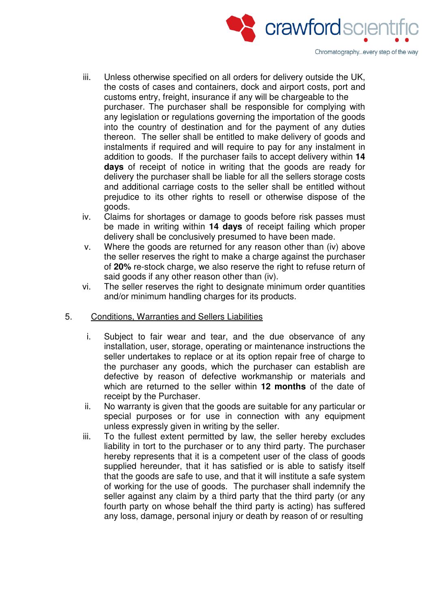

- iii. Unless otherwise specified on all orders for delivery outside the UK, the costs of cases and containers, dock and airport costs, port and customs entry, freight, insurance if any will be chargeable to the purchaser. The purchaser shall be responsible for complying with any legislation or regulations governing the importation of the goods into the country of destination and for the payment of any duties thereon. The seller shall be entitled to make delivery of goods and instalments if required and will require to pay for any instalment in addition to goods. If the purchaser fails to accept delivery within **14 days** of receipt of notice in writing that the goods are ready for delivery the purchaser shall be liable for all the sellers storage costs and additional carriage costs to the seller shall be entitled without prejudice to its other rights to resell or otherwise dispose of the goods.
- iv. Claims for shortages or damage to goods before risk passes must be made in writing within **14 days** of receipt failing which proper delivery shall be conclusively presumed to have been made.
- v. Where the goods are returned for any reason other than (iv) above the seller reserves the right to make a charge against the purchaser of **20%** re-stock charge, we also reserve the right to refuse return of said goods if any other reason other than (iv).
- vi. The seller reserves the right to designate minimum order quantities and/or minimum handling charges for its products.
- 5. Conditions, Warranties and Sellers Liabilities
	- i. Subject to fair wear and tear, and the due observance of any installation, user, storage, operating or maintenance instructions the seller undertakes to replace or at its option repair free of charge to the purchaser any goods, which the purchaser can establish are defective by reason of defective workmanship or materials and which are returned to the seller within **12 months** of the date of receipt by the Purchaser.
	- ii. No warranty is given that the goods are suitable for any particular or special purposes or for use in connection with any equipment unless expressly given in writing by the seller.
	- iii. To the fullest extent permitted by law, the seller hereby excludes liability in tort to the purchaser or to any third party. The purchaser hereby represents that it is a competent user of the class of goods supplied hereunder, that it has satisfied or is able to satisfy itself that the goods are safe to use, and that it will institute a safe system of working for the use of goods. The purchaser shall indemnify the seller against any claim by a third party that the third party (or any fourth party on whose behalf the third party is acting) has suffered any loss, damage, personal injury or death by reason of or resulting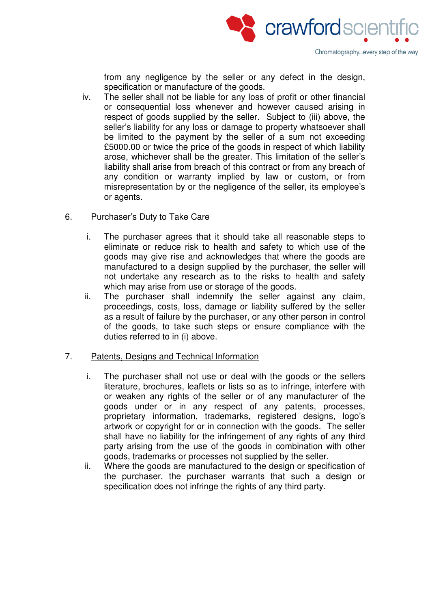

from any negligence by the seller or any defect in the design, specification or manufacture of the goods.

iv. The seller shall not be liable for any loss of profit or other financial or consequential loss whenever and however caused arising in respect of goods supplied by the seller. Subject to (iii) above, the seller's liability for any loss or damage to property whatsoever shall be limited to the payment by the seller of a sum not exceeding £5000.00 or twice the price of the goods in respect of which liability arose, whichever shall be the greater. This limitation of the seller's liability shall arise from breach of this contract or from any breach of any condition or warranty implied by law or custom, or from misrepresentation by or the negligence of the seller, its employee's or agents.

## 6. Purchaser's Duty to Take Care

- i. The purchaser agrees that it should take all reasonable steps to eliminate or reduce risk to health and safety to which use of the goods may give rise and acknowledges that where the goods are manufactured to a design supplied by the purchaser, the seller will not undertake any research as to the risks to health and safety which may arise from use or storage of the goods.
- ii. The purchaser shall indemnify the seller against any claim, proceedings, costs, loss, damage or liability suffered by the seller as a result of failure by the purchaser, or any other person in control of the goods, to take such steps or ensure compliance with the duties referred to in (i) above.

#### 7. Patents, Designs and Technical Information

- i. The purchaser shall not use or deal with the goods or the sellers literature, brochures, leaflets or lists so as to infringe, interfere with or weaken any rights of the seller or of any manufacturer of the goods under or in any respect of any patents, processes, proprietary information, trademarks, registered designs, logo's artwork or copyright for or in connection with the goods. The seller shall have no liability for the infringement of any rights of any third party arising from the use of the goods in combination with other goods, trademarks or processes not supplied by the seller.
- ii. Where the goods are manufactured to the design or specification of the purchaser, the purchaser warrants that such a design or specification does not infringe the rights of any third party.